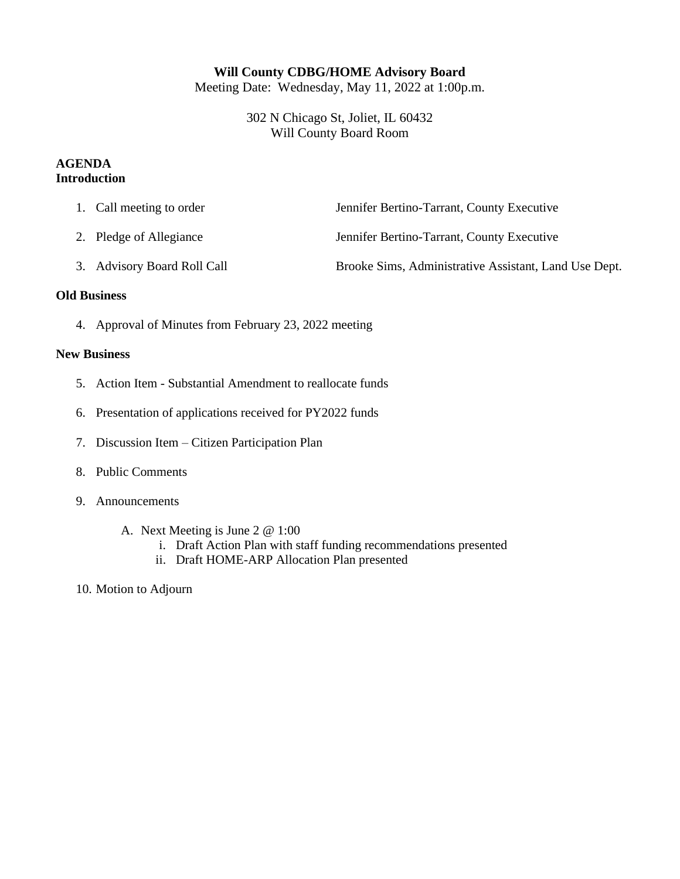## **Will County CDBG/HOME Advisory Board**

Meeting Date: Wednesday, May 11, 2022 at 1:00p.m.

302 N Chicago St, Joliet, IL 60432 Will County Board Room

## **AGENDA Introduction**

|  | 1. Call meeting to order | Jennifer Bertino-Tarrant, County Executive |
|--|--------------------------|--------------------------------------------|
|--|--------------------------|--------------------------------------------|

- 2. Pledge of Allegiance Jennifer Bertino-Tarrant, County Executive
- 3. Advisory Board Roll Call Brooke Sims, Administrative Assistant, Land Use Dept.

## **Old Business**

4. Approval of Minutes from February 23, 2022 meeting

## **New Business**

- 5. Action Item Substantial Amendment to reallocate funds
- 6. Presentation of applications received for PY2022 funds
- 7. Discussion Item Citizen Participation Plan
- 8. Public Comments
- 9. Announcements
	- A. Next Meeting is June 2 @ 1:00
		- i. Draft Action Plan with staff funding recommendations presented
		- ii. Draft HOME-ARP Allocation Plan presented
- 10. Motion to Adjourn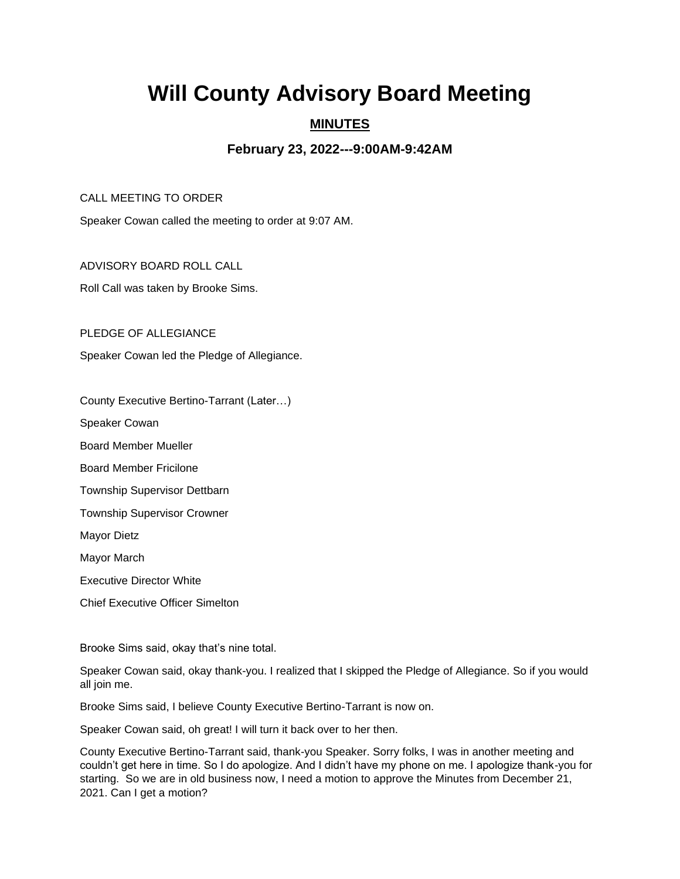# **Will County Advisory Board Meeting**

## **MINUTES**

## **February 23, 2022---9:00AM-9:42AM**

CALL MEETING TO ORDER

Speaker Cowan called the meeting to order at 9:07 AM.

ADVISORY BOARD ROLL CALL

Roll Call was taken by Brooke Sims.

PLEDGE OF ALLEGIANCE

Speaker Cowan led the Pledge of Allegiance.

County Executive Bertino-Tarrant (Later…)

Speaker Cowan

Board Member Mueller

Board Member Fricilone

Township Supervisor Dettbarn

Township Supervisor Crowner

Mayor Dietz

Mayor March

Executive Director White

Chief Executive Officer Simelton

Brooke Sims said, okay that's nine total.

Speaker Cowan said, okay thank-you. I realized that I skipped the Pledge of Allegiance. So if you would all join me.

Brooke Sims said, I believe County Executive Bertino-Tarrant is now on.

Speaker Cowan said, oh great! I will turn it back over to her then.

County Executive Bertino-Tarrant said, thank-you Speaker. Sorry folks, I was in another meeting and couldn't get here in time. So I do apologize. And I didn't have my phone on me. I apologize thank-you for starting. So we are in old business now, I need a motion to approve the Minutes from December 21, 2021. Can I get a motion?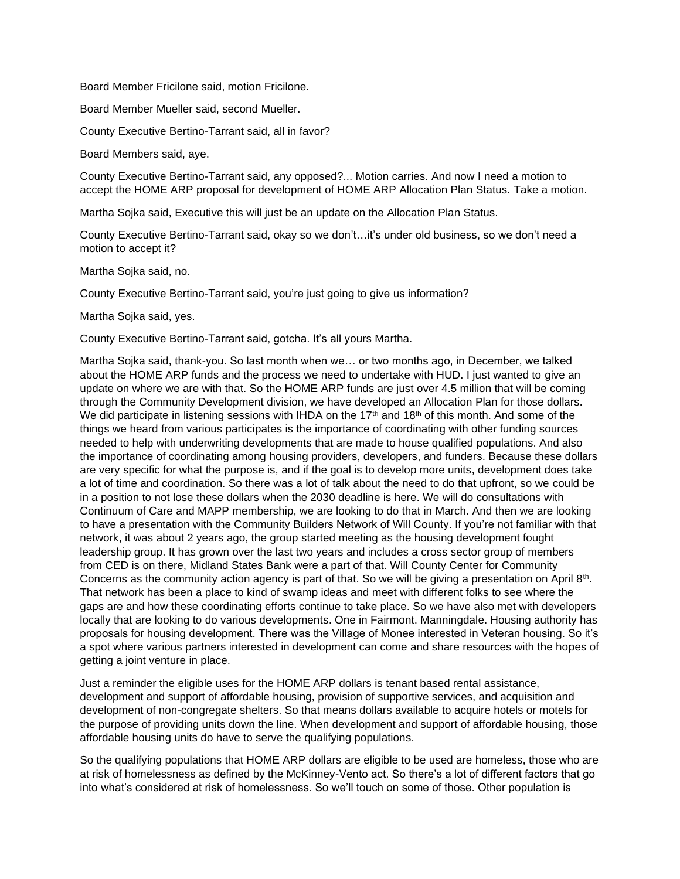Board Member Fricilone said, motion Fricilone.

Board Member Mueller said, second Mueller.

County Executive Bertino-Tarrant said, all in favor?

Board Members said, aye.

County Executive Bertino-Tarrant said, any opposed?... Motion carries. And now I need a motion to accept the HOME ARP proposal for development of HOME ARP Allocation Plan Status. Take a motion.

Martha Sojka said, Executive this will just be an update on the Allocation Plan Status.

County Executive Bertino-Tarrant said, okay so we don't…it's under old business, so we don't need a motion to accept it?

Martha Sojka said, no.

County Executive Bertino-Tarrant said, you're just going to give us information?

Martha Sojka said, yes.

County Executive Bertino-Tarrant said, gotcha. It's all yours Martha.

Martha Sojka said, thank-you. So last month when we… or two months ago, in December, we talked about the HOME ARP funds and the process we need to undertake with HUD. I just wanted to give an update on where we are with that. So the HOME ARP funds are just over 4.5 million that will be coming through the Community Development division, we have developed an Allocation Plan for those dollars. We did participate in listening sessions with IHDA on the 17<sup>th</sup> and 18<sup>th</sup> of this month. And some of the things we heard from various participates is the importance of coordinating with other funding sources needed to help with underwriting developments that are made to house qualified populations. And also the importance of coordinating among housing providers, developers, and funders. Because these dollars are very specific for what the purpose is, and if the goal is to develop more units, development does take a lot of time and coordination. So there was a lot of talk about the need to do that upfront, so we could be in a position to not lose these dollars when the 2030 deadline is here. We will do consultations with Continuum of Care and MAPP membership, we are looking to do that in March. And then we are looking to have a presentation with the Community Builders Network of Will County. If you're not familiar with that network, it was about 2 years ago, the group started meeting as the housing development fought leadership group. It has grown over the last two years and includes a cross sector group of members from CED is on there, Midland States Bank were a part of that. Will County Center for Community Concerns as the community action agency is part of that. So we will be giving a presentation on April 8th. That network has been a place to kind of swamp ideas and meet with different folks to see where the gaps are and how these coordinating efforts continue to take place. So we have also met with developers locally that are looking to do various developments. One in Fairmont. Manningdale. Housing authority has proposals for housing development. There was the Village of Monee interested in Veteran housing. So it's a spot where various partners interested in development can come and share resources with the hopes of getting a joint venture in place.

Just a reminder the eligible uses for the HOME ARP dollars is tenant based rental assistance, development and support of affordable housing, provision of supportive services, and acquisition and development of non-congregate shelters. So that means dollars available to acquire hotels or motels for the purpose of providing units down the line. When development and support of affordable housing, those affordable housing units do have to serve the qualifying populations.

So the qualifying populations that HOME ARP dollars are eligible to be used are homeless, those who are at risk of homelessness as defined by the McKinney-Vento act. So there's a lot of different factors that go into what's considered at risk of homelessness. So we'll touch on some of those. Other population is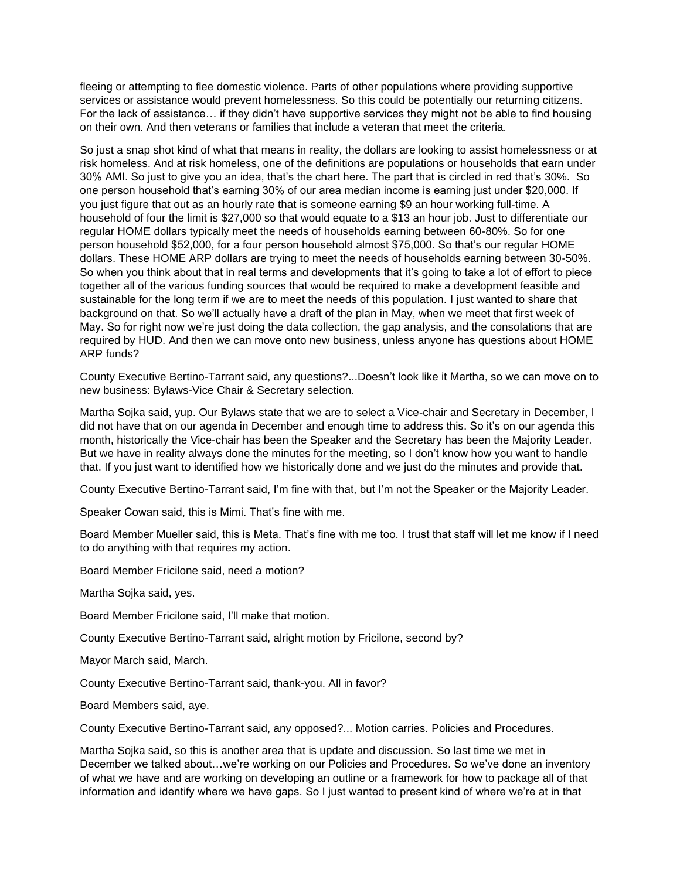fleeing or attempting to flee domestic violence. Parts of other populations where providing supportive services or assistance would prevent homelessness. So this could be potentially our returning citizens. For the lack of assistance… if they didn't have supportive services they might not be able to find housing on their own. And then veterans or families that include a veteran that meet the criteria.

So just a snap shot kind of what that means in reality, the dollars are looking to assist homelessness or at risk homeless. And at risk homeless, one of the definitions are populations or households that earn under 30% AMI. So just to give you an idea, that's the chart here. The part that is circled in red that's 30%. So one person household that's earning 30% of our area median income is earning just under \$20,000. If you just figure that out as an hourly rate that is someone earning \$9 an hour working full-time. A household of four the limit is \$27,000 so that would equate to a \$13 an hour job. Just to differentiate our regular HOME dollars typically meet the needs of households earning between 60-80%. So for one person household \$52,000, for a four person household almost \$75,000. So that's our regular HOME dollars. These HOME ARP dollars are trying to meet the needs of households earning between 30-50%. So when you think about that in real terms and developments that it's going to take a lot of effort to piece together all of the various funding sources that would be required to make a development feasible and sustainable for the long term if we are to meet the needs of this population. I just wanted to share that background on that. So we'll actually have a draft of the plan in May, when we meet that first week of May. So for right now we're just doing the data collection, the gap analysis, and the consolations that are required by HUD. And then we can move onto new business, unless anyone has questions about HOME ARP funds?

County Executive Bertino-Tarrant said, any questions?...Doesn't look like it Martha, so we can move on to new business: Bylaws-Vice Chair & Secretary selection.

Martha Sojka said, yup. Our Bylaws state that we are to select a Vice-chair and Secretary in December, I did not have that on our agenda in December and enough time to address this. So it's on our agenda this month, historically the Vice-chair has been the Speaker and the Secretary has been the Majority Leader. But we have in reality always done the minutes for the meeting, so I don't know how you want to handle that. If you just want to identified how we historically done and we just do the minutes and provide that.

County Executive Bertino-Tarrant said, I'm fine with that, but I'm not the Speaker or the Majority Leader.

Speaker Cowan said, this is Mimi. That's fine with me.

Board Member Mueller said, this is Meta. That's fine with me too. I trust that staff will let me know if I need to do anything with that requires my action.

Board Member Fricilone said, need a motion?

Martha Sojka said, yes.

Board Member Fricilone said, I'll make that motion.

County Executive Bertino-Tarrant said, alright motion by Fricilone, second by?

Mayor March said, March.

County Executive Bertino-Tarrant said, thank-you. All in favor?

Board Members said, aye.

County Executive Bertino-Tarrant said, any opposed?... Motion carries. Policies and Procedures.

Martha Sojka said, so this is another area that is update and discussion. So last time we met in December we talked about…we're working on our Policies and Procedures. So we've done an inventory of what we have and are working on developing an outline or a framework for how to package all of that information and identify where we have gaps. So I just wanted to present kind of where we're at in that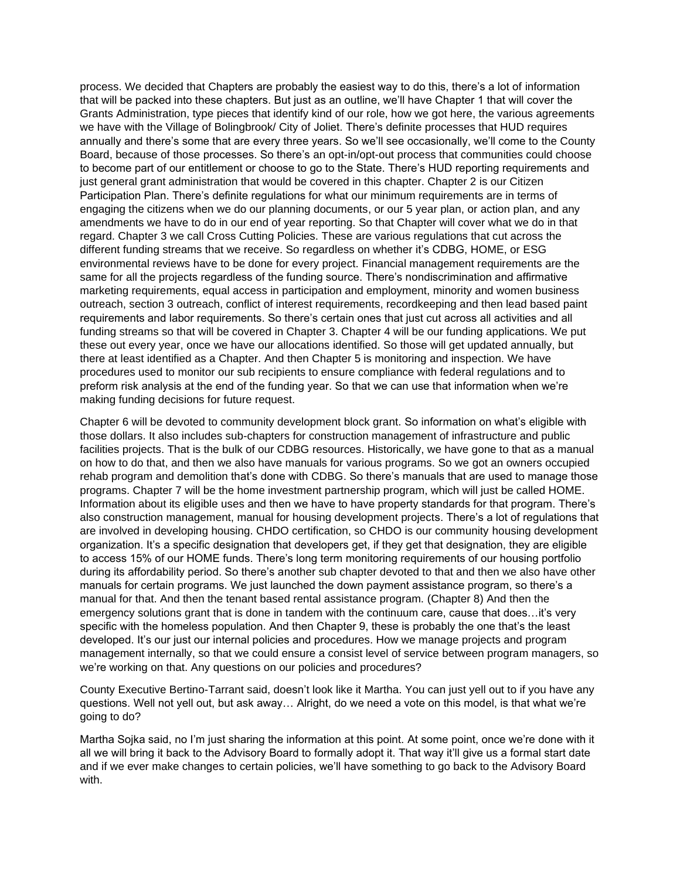process. We decided that Chapters are probably the easiest way to do this, there's a lot of information that will be packed into these chapters. But just as an outline, we'll have Chapter 1 that will cover the Grants Administration, type pieces that identify kind of our role, how we got here, the various agreements we have with the Village of Bolingbrook/ City of Joliet. There's definite processes that HUD requires annually and there's some that are every three years. So we'll see occasionally, we'll come to the County Board, because of those processes. So there's an opt-in/opt-out process that communities could choose to become part of our entitlement or choose to go to the State. There's HUD reporting requirements and just general grant administration that would be covered in this chapter. Chapter 2 is our Citizen Participation Plan. There's definite regulations for what our minimum requirements are in terms of engaging the citizens when we do our planning documents, or our 5 year plan, or action plan, and any amendments we have to do in our end of year reporting. So that Chapter will cover what we do in that regard. Chapter 3 we call Cross Cutting Policies. These are various regulations that cut across the different funding streams that we receive. So regardless on whether it's CDBG, HOME, or ESG environmental reviews have to be done for every project. Financial management requirements are the same for all the projects regardless of the funding source. There's nondiscrimination and affirmative marketing requirements, equal access in participation and employment, minority and women business outreach, section 3 outreach, conflict of interest requirements, recordkeeping and then lead based paint requirements and labor requirements. So there's certain ones that just cut across all activities and all funding streams so that will be covered in Chapter 3. Chapter 4 will be our funding applications. We put these out every year, once we have our allocations identified. So those will get updated annually, but there at least identified as a Chapter. And then Chapter 5 is monitoring and inspection. We have procedures used to monitor our sub recipients to ensure compliance with federal regulations and to preform risk analysis at the end of the funding year. So that we can use that information when we're making funding decisions for future request.

Chapter 6 will be devoted to community development block grant. So information on what's eligible with those dollars. It also includes sub-chapters for construction management of infrastructure and public facilities projects. That is the bulk of our CDBG resources. Historically, we have gone to that as a manual on how to do that, and then we also have manuals for various programs. So we got an owners occupied rehab program and demolition that's done with CDBG. So there's manuals that are used to manage those programs. Chapter 7 will be the home investment partnership program, which will just be called HOME. Information about its eligible uses and then we have to have property standards for that program. There's also construction management, manual for housing development projects. There's a lot of regulations that are involved in developing housing. CHDO certification, so CHDO is our community housing development organization. It's a specific designation that developers get, if they get that designation, they are eligible to access 15% of our HOME funds. There's long term monitoring requirements of our housing portfolio during its affordability period. So there's another sub chapter devoted to that and then we also have other manuals for certain programs. We just launched the down payment assistance program, so there's a manual for that. And then the tenant based rental assistance program. (Chapter 8) And then the emergency solutions grant that is done in tandem with the continuum care, cause that does…it's very specific with the homeless population. And then Chapter 9, these is probably the one that's the least developed. It's our just our internal policies and procedures. How we manage projects and program management internally, so that we could ensure a consist level of service between program managers, so we're working on that. Any questions on our policies and procedures?

County Executive Bertino-Tarrant said, doesn't look like it Martha. You can just yell out to if you have any questions. Well not yell out, but ask away… Alright, do we need a vote on this model, is that what we're going to do?

Martha Sojka said, no I'm just sharing the information at this point. At some point, once we're done with it all we will bring it back to the Advisory Board to formally adopt it. That way it'll give us a formal start date and if we ever make changes to certain policies, we'll have something to go back to the Advisory Board with.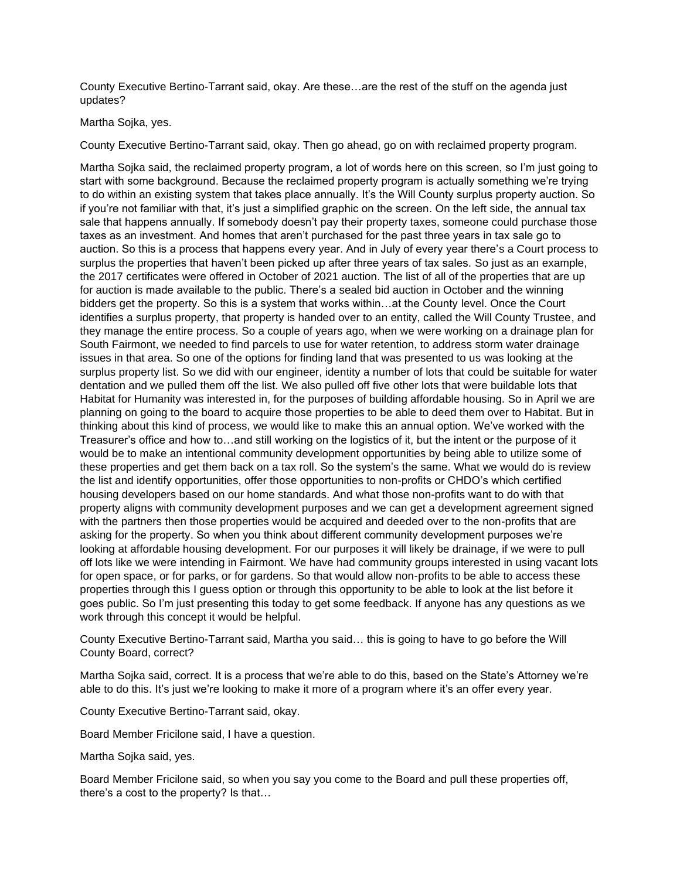County Executive Bertino-Tarrant said, okay. Are these…are the rest of the stuff on the agenda just updates?

#### Martha Sojka, yes.

County Executive Bertino-Tarrant said, okay. Then go ahead, go on with reclaimed property program.

Martha Sojka said, the reclaimed property program, a lot of words here on this screen, so I'm just going to start with some background. Because the reclaimed property program is actually something we're trying to do within an existing system that takes place annually. It's the Will County surplus property auction. So if you're not familiar with that, it's just a simplified graphic on the screen. On the left side, the annual tax sale that happens annually. If somebody doesn't pay their property taxes, someone could purchase those taxes as an investment. And homes that aren't purchased for the past three years in tax sale go to auction. So this is a process that happens every year. And in July of every year there's a Court process to surplus the properties that haven't been picked up after three years of tax sales. So just as an example, the 2017 certificates were offered in October of 2021 auction. The list of all of the properties that are up for auction is made available to the public. There's a sealed bid auction in October and the winning bidders get the property. So this is a system that works within…at the County level. Once the Court identifies a surplus property, that property is handed over to an entity, called the Will County Trustee, and they manage the entire process. So a couple of years ago, when we were working on a drainage plan for South Fairmont, we needed to find parcels to use for water retention, to address storm water drainage issues in that area. So one of the options for finding land that was presented to us was looking at the surplus property list. So we did with our engineer, identity a number of lots that could be suitable for water dentation and we pulled them off the list. We also pulled off five other lots that were buildable lots that Habitat for Humanity was interested in, for the purposes of building affordable housing. So in April we are planning on going to the board to acquire those properties to be able to deed them over to Habitat. But in thinking about this kind of process, we would like to make this an annual option. We've worked with the Treasurer's office and how to…and still working on the logistics of it, but the intent or the purpose of it would be to make an intentional community development opportunities by being able to utilize some of these properties and get them back on a tax roll. So the system's the same. What we would do is review the list and identify opportunities, offer those opportunities to non-profits or CHDO's which certified housing developers based on our home standards. And what those non-profits want to do with that property aligns with community development purposes and we can get a development agreement signed with the partners then those properties would be acquired and deeded over to the non-profits that are asking for the property. So when you think about different community development purposes we're looking at affordable housing development. For our purposes it will likely be drainage, if we were to pull off lots like we were intending in Fairmont. We have had community groups interested in using vacant lots for open space, or for parks, or for gardens. So that would allow non-profits to be able to access these properties through this I guess option or through this opportunity to be able to look at the list before it goes public. So I'm just presenting this today to get some feedback. If anyone has any questions as we work through this concept it would be helpful.

County Executive Bertino-Tarrant said, Martha you said… this is going to have to go before the Will County Board, correct?

Martha Sojka said, correct. It is a process that we're able to do this, based on the State's Attorney we're able to do this. It's just we're looking to make it more of a program where it's an offer every year.

County Executive Bertino-Tarrant said, okay.

Board Member Fricilone said, I have a question.

Martha Sojka said, yes.

Board Member Fricilone said, so when you say you come to the Board and pull these properties off, there's a cost to the property? Is that…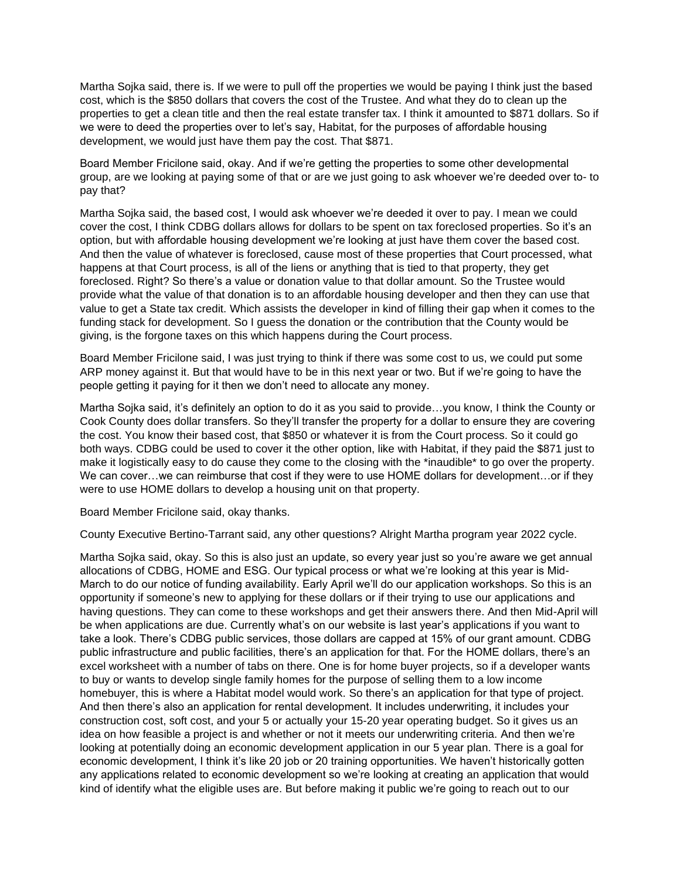Martha Sojka said, there is. If we were to pull off the properties we would be paying I think just the based cost, which is the \$850 dollars that covers the cost of the Trustee. And what they do to clean up the properties to get a clean title and then the real estate transfer tax. I think it amounted to \$871 dollars. So if we were to deed the properties over to let's say, Habitat, for the purposes of affordable housing development, we would just have them pay the cost. That \$871.

Board Member Fricilone said, okay. And if we're getting the properties to some other developmental group, are we looking at paying some of that or are we just going to ask whoever we're deeded over to- to pay that?

Martha Sojka said, the based cost, I would ask whoever we're deeded it over to pay. I mean we could cover the cost, I think CDBG dollars allows for dollars to be spent on tax foreclosed properties. So it's an option, but with affordable housing development we're looking at just have them cover the based cost. And then the value of whatever is foreclosed, cause most of these properties that Court processed, what happens at that Court process, is all of the liens or anything that is tied to that property, they get foreclosed. Right? So there's a value or donation value to that dollar amount. So the Trustee would provide what the value of that donation is to an affordable housing developer and then they can use that value to get a State tax credit. Which assists the developer in kind of filling their gap when it comes to the funding stack for development. So I guess the donation or the contribution that the County would be giving, is the forgone taxes on this which happens during the Court process.

Board Member Fricilone said, I was just trying to think if there was some cost to us, we could put some ARP money against it. But that would have to be in this next year or two. But if we're going to have the people getting it paying for it then we don't need to allocate any money.

Martha Sojka said, it's definitely an option to do it as you said to provide…you know, I think the County or Cook County does dollar transfers. So they'll transfer the property for a dollar to ensure they are covering the cost. You know their based cost, that \$850 or whatever it is from the Court process. So it could go both ways. CDBG could be used to cover it the other option, like with Habitat, if they paid the \$871 just to make it logistically easy to do cause they come to the closing with the \*inaudible\* to go over the property. We can cover...we can reimburse that cost if they were to use HOME dollars for development...or if they were to use HOME dollars to develop a housing unit on that property.

Board Member Fricilone said, okay thanks.

County Executive Bertino-Tarrant said, any other questions? Alright Martha program year 2022 cycle.

Martha Sojka said, okay. So this is also just an update, so every year just so you're aware we get annual allocations of CDBG, HOME and ESG. Our typical process or what we're looking at this year is Mid-March to do our notice of funding availability. Early April we'll do our application workshops. So this is an opportunity if someone's new to applying for these dollars or if their trying to use our applications and having questions. They can come to these workshops and get their answers there. And then Mid-April will be when applications are due. Currently what's on our website is last year's applications if you want to take a look. There's CDBG public services, those dollars are capped at 15% of our grant amount. CDBG public infrastructure and public facilities, there's an application for that. For the HOME dollars, there's an excel worksheet with a number of tabs on there. One is for home buyer projects, so if a developer wants to buy or wants to develop single family homes for the purpose of selling them to a low income homebuyer, this is where a Habitat model would work. So there's an application for that type of project. And then there's also an application for rental development. It includes underwriting, it includes your construction cost, soft cost, and your 5 or actually your 15-20 year operating budget. So it gives us an idea on how feasible a project is and whether or not it meets our underwriting criteria. And then we're looking at potentially doing an economic development application in our 5 year plan. There is a goal for economic development, I think it's like 20 job or 20 training opportunities. We haven't historically gotten any applications related to economic development so we're looking at creating an application that would kind of identify what the eligible uses are. But before making it public we're going to reach out to our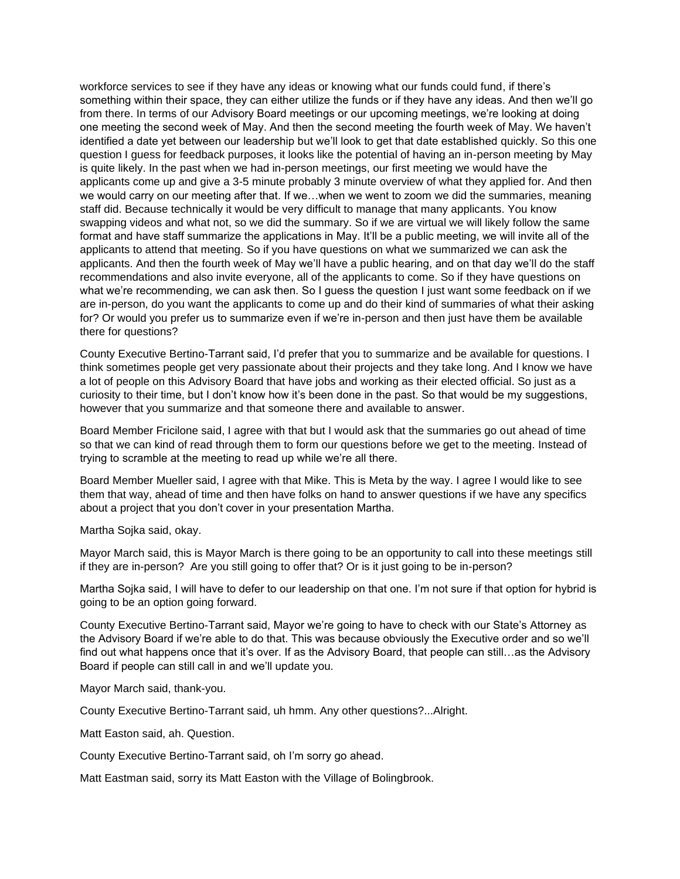workforce services to see if they have any ideas or knowing what our funds could fund, if there's something within their space, they can either utilize the funds or if they have any ideas. And then we'll go from there. In terms of our Advisory Board meetings or our upcoming meetings, we're looking at doing one meeting the second week of May. And then the second meeting the fourth week of May. We haven't identified a date yet between our leadership but we'll look to get that date established quickly. So this one question I guess for feedback purposes, it looks like the potential of having an in-person meeting by May is quite likely. In the past when we had in-person meetings, our first meeting we would have the applicants come up and give a 3-5 minute probably 3 minute overview of what they applied for. And then we would carry on our meeting after that. If we…when we went to zoom we did the summaries, meaning staff did. Because technically it would be very difficult to manage that many applicants. You know swapping videos and what not, so we did the summary. So if we are virtual we will likely follow the same format and have staff summarize the applications in May. It'll be a public meeting, we will invite all of the applicants to attend that meeting. So if you have questions on what we summarized we can ask the applicants. And then the fourth week of May we'll have a public hearing, and on that day we'll do the staff recommendations and also invite everyone, all of the applicants to come. So if they have questions on what we're recommending, we can ask then. So I guess the question I just want some feedback on if we are in-person, do you want the applicants to come up and do their kind of summaries of what their asking for? Or would you prefer us to summarize even if we're in-person and then just have them be available there for questions?

County Executive Bertino-Tarrant said, I'd prefer that you to summarize and be available for questions. I think sometimes people get very passionate about their projects and they take long. And I know we have a lot of people on this Advisory Board that have jobs and working as their elected official. So just as a curiosity to their time, but I don't know how it's been done in the past. So that would be my suggestions, however that you summarize and that someone there and available to answer.

Board Member Fricilone said, I agree with that but I would ask that the summaries go out ahead of time so that we can kind of read through them to form our questions before we get to the meeting. Instead of trying to scramble at the meeting to read up while we're all there.

Board Member Mueller said, I agree with that Mike. This is Meta by the way. I agree I would like to see them that way, ahead of time and then have folks on hand to answer questions if we have any specifics about a project that you don't cover in your presentation Martha.

Martha Sojka said, okay.

Mayor March said, this is Mayor March is there going to be an opportunity to call into these meetings still if they are in-person? Are you still going to offer that? Or is it just going to be in-person?

Martha Sojka said, I will have to defer to our leadership on that one. I'm not sure if that option for hybrid is going to be an option going forward.

County Executive Bertino-Tarrant said, Mayor we're going to have to check with our State's Attorney as the Advisory Board if we're able to do that. This was because obviously the Executive order and so we'll find out what happens once that it's over. If as the Advisory Board, that people can still...as the Advisory Board if people can still call in and we'll update you.

Mayor March said, thank-you.

County Executive Bertino-Tarrant said, uh hmm. Any other questions?...Alright.

Matt Easton said, ah. Question.

County Executive Bertino-Tarrant said, oh I'm sorry go ahead.

Matt Eastman said, sorry its Matt Easton with the Village of Bolingbrook.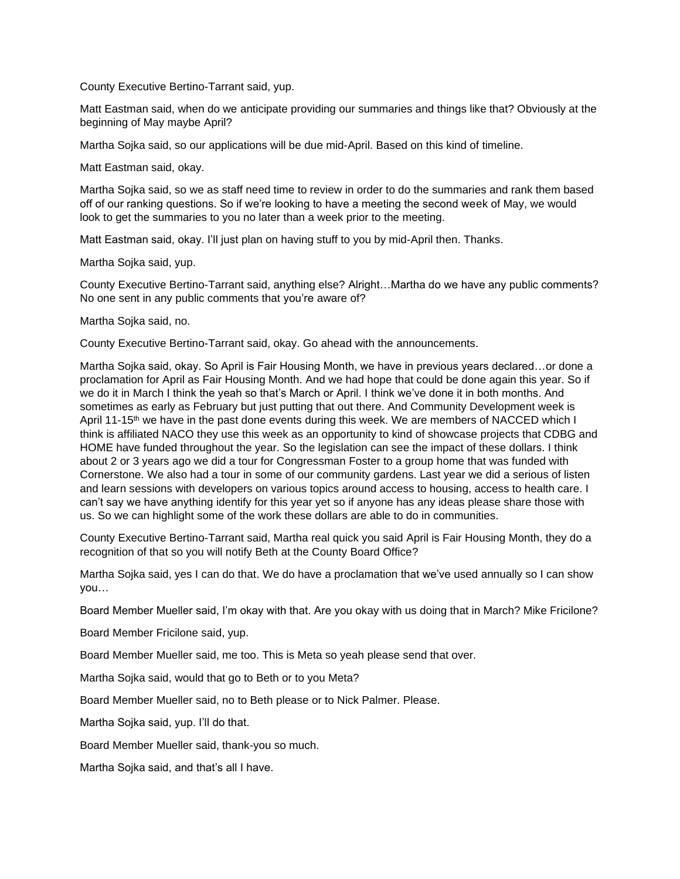County Executive Bertino-Tarrant said, yup.

Matt Eastman said, when do we anticipate providing our summaries and things like that? Obviously at the beginning of May maybe April?

Martha Sojka said, so our applications will be due mid-April. Based on this kind of timeline.

Matt Eastman said, okay.

Martha Sojka said, so we as staff need time to review in order to do the summaries and rank them based off of our ranking questions. So if we're looking to have a meeting the second week of May, we would look to get the summaries to you no later than a week prior to the meeting.

Matt Eastman said, okay. I'll just plan on having stuff to you by mid-April then. Thanks.

Martha Sojka said, yup.

County Executive Bertino-Tarrant said, anything else? Alright…Martha do we have any public comments? No one sent in any public comments that you're aware of?

Martha Sojka said, no.

County Executive Bertino-Tarrant said, okay. Go ahead with the announcements.

Martha Sojka said, okay. So April is Fair Housing Month, we have in previous years declared…or done a proclamation for April as Fair Housing Month. And we had hope that could be done again this year. So if we do it in March I think the yeah so that's March or April. I think we've done it in both months. And sometimes as early as February but just putting that out there. And Community Development week is April 11-15<sup>th</sup> we have in the past done events during this week. We are members of NACCED which I think is affiliated NACO they use this week as an opportunity to kind of showcase projects that CDBG and HOME have funded throughout the year. So the legislation can see the impact of these dollars. I think about 2 or 3 years ago we did a tour for Congressman Foster to a group home that was funded with Cornerstone. We also had a tour in some of our community gardens. Last year we did a serious of listen and learn sessions with developers on various topics around access to housing, access to health care. I can't say we have anything identify for this year yet so if anyone has any ideas please share those with us. So we can highlight some of the work these dollars are able to do in communities.

County Executive Bertino-Tarrant said, Martha real quick you said April is Fair Housing Month, they do a recognition of that so you will notify Beth at the County Board Office?

Martha Sojka said, yes I can do that. We do have a proclamation that we've used annually so I can show you…

Board Member Mueller said, I'm okay with that. Are you okay with us doing that in March? Mike Fricilone?

Board Member Fricilone said, yup.

Board Member Mueller said, me too. This is Meta so yeah please send that over.

Martha Sojka said, would that go to Beth or to you Meta?

Board Member Mueller said, no to Beth please or to Nick Palmer. Please.

Martha Sojka said, yup. I'll do that.

Board Member Mueller said, thank-you so much.

Martha Sojka said, and that's all I have.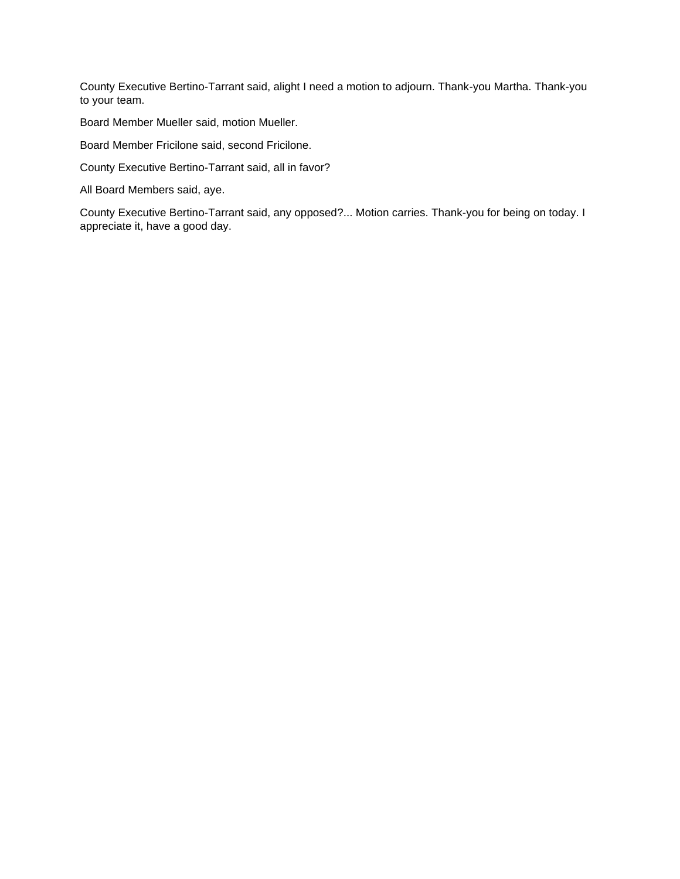County Executive Bertino-Tarrant said, alight I need a motion to adjourn. Thank-you Martha. Thank-you to your team.

Board Member Mueller said, motion Mueller.

Board Member Fricilone said, second Fricilone.

County Executive Bertino-Tarrant said, all in favor?

All Board Members said, aye.

County Executive Bertino-Tarrant said, any opposed?... Motion carries. Thank-you for being on today. I appreciate it, have a good day.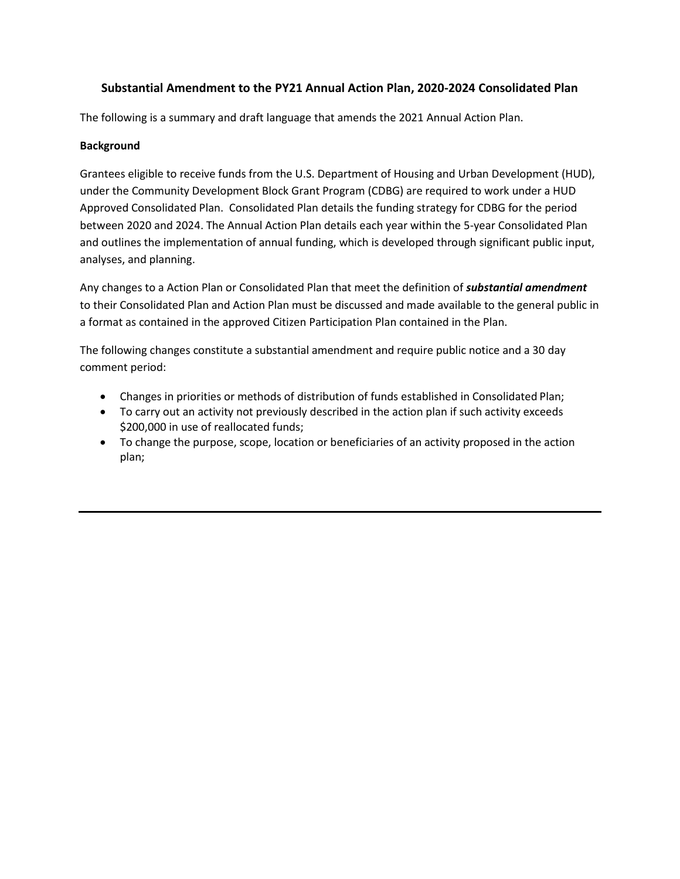## **Substantial Amendment to the PY21 Annual Action Plan, 2020-2024 Consolidated Plan**

The following is a summary and draft language that amends the 2021 Annual Action Plan.

## **Background**

Grantees eligible to receive funds from the U.S. Department of Housing and Urban Development (HUD), under the Community Development Block Grant Program (CDBG) are required to work under a HUD Approved Consolidated Plan. Consolidated Plan details the funding strategy for CDBG for the period between 2020 and 2024. The Annual Action Plan details each year within the 5-year Consolidated Plan and outlines the implementation of annual funding, which is developed through significant public input, analyses, and planning.

Any changes to a Action Plan or Consolidated Plan that meet the definition of *substantial amendment* to their Consolidated Plan and Action Plan must be discussed and made available to the general public in a format as contained in the approved Citizen Participation Plan contained in the Plan.

The following changes constitute a substantial amendment and require public notice and a 30 day comment period:

- Changes in priorities or methods of distribution of funds established in Consolidated Plan;
- To carry out an activity not previously described in the action plan if such activity exceeds \$200,000 in use of reallocated funds;
- To change the purpose, scope, location or beneficiaries of an activity proposed in the action plan;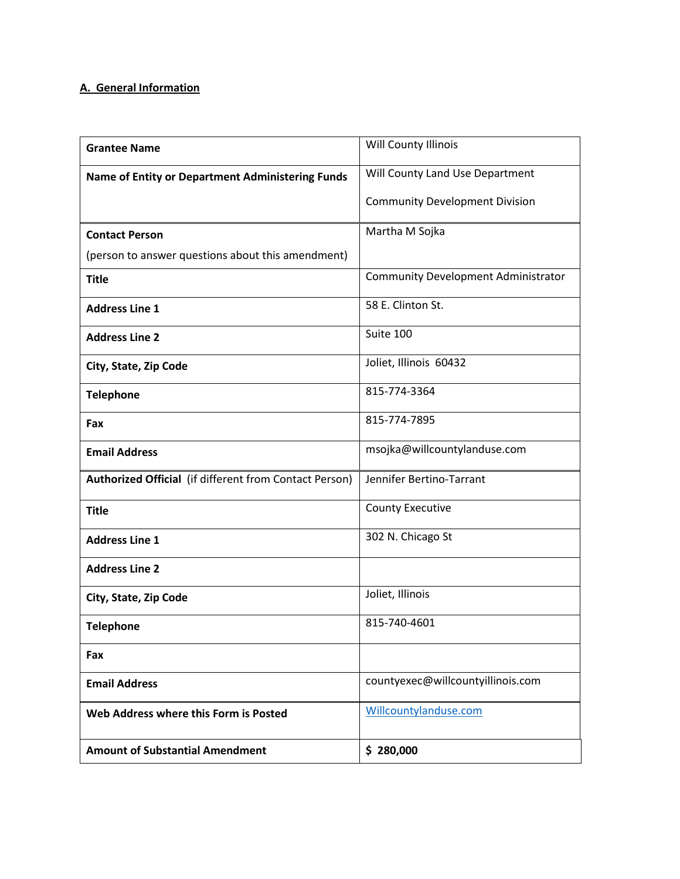## **A. General Information**

| <b>Grantee Name</b>                                    | Will County Illinois                       |
|--------------------------------------------------------|--------------------------------------------|
| Name of Entity or Department Administering Funds       | Will County Land Use Department            |
|                                                        | <b>Community Development Division</b>      |
| <b>Contact Person</b>                                  | Martha M Sojka                             |
| (person to answer questions about this amendment)      |                                            |
| <b>Title</b>                                           | <b>Community Development Administrator</b> |
| <b>Address Line 1</b>                                  | 58 E. Clinton St.                          |
| <b>Address Line 2</b>                                  | Suite 100                                  |
| City, State, Zip Code                                  | Joliet, Illinois 60432                     |
| <b>Telephone</b>                                       | 815-774-3364                               |
| Fax                                                    | 815-774-7895                               |
| <b>Email Address</b>                                   | msojka@willcountylanduse.com               |
| Authorized Official (if different from Contact Person) | Jennifer Bertino-Tarrant                   |
| <b>Title</b>                                           | <b>County Executive</b>                    |
| <b>Address Line 1</b>                                  | 302 N. Chicago St                          |
| <b>Address Line 2</b>                                  |                                            |
| City, State, Zip Code                                  | Joliet, Illinois                           |
| <b>Telephone</b>                                       | 815-740-4601                               |
| Fax                                                    |                                            |
| <b>Email Address</b>                                   | countyexec@willcountyillinois.com          |
| Web Address where this Form is Posted                  | Willcountylanduse.com                      |
| <b>Amount of Substantial Amendment</b>                 | \$280,000                                  |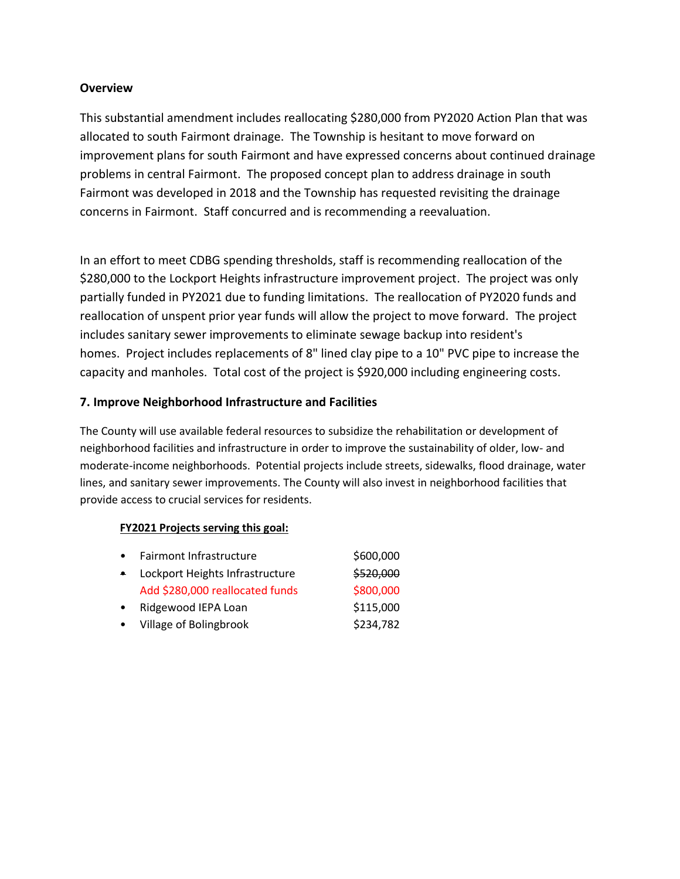## **Overview**

This substantial amendment includes reallocating \$280,000 from PY2020 Action Plan that was allocated to south Fairmont drainage. The Township is hesitant to move forward on improvement plans for south Fairmont and have expressed concerns about continued drainage problems in central Fairmont. The proposed concept plan to address drainage in south Fairmont was developed in 2018 and the Township has requested revisiting the drainage concerns in Fairmont. Staff concurred and is recommending a reevaluation.

In an effort to meet CDBG spending thresholds, staff is recommending reallocation of the \$280,000 to the Lockport Heights infrastructure improvement project. The project was only partially funded in PY2021 due to funding limitations. The reallocation of PY2020 funds and reallocation of unspent prior year funds will allow the project to move forward. The project includes sanitary sewer improvements to eliminate sewage backup into resident's homes. Project includes replacements of 8" lined clay pipe to a 10" PVC pipe to increase the capacity and manholes. Total cost of the project is \$920,000 including engineering costs.

## **7. Improve Neighborhood Infrastructure and Facilities**

The County will use available federal resources to subsidize the rehabilitation or development of neighborhood facilities and infrastructure in order to improve the sustainability of older, low- and moderate-income neighborhoods. Potential projects include streets, sidewalks, flood drainage, water lines, and sanitary sewer improvements. The County will also invest in neighborhood facilities that provide access to crucial services for residents.

#### **FY2021 Projects serving this goal:**

| $\bullet$ | Fairmont Infrastructure         | \$600,000 |
|-----------|---------------------------------|-----------|
| $\bullet$ | Lockport Heights Infrastructure | \$520,000 |
|           | Add \$280,000 reallocated funds | \$800,000 |
| $\bullet$ | Ridgewood IEPA Loan             | \$115,000 |
| $\bullet$ | <b>Village of Bolingbrook</b>   | \$234,782 |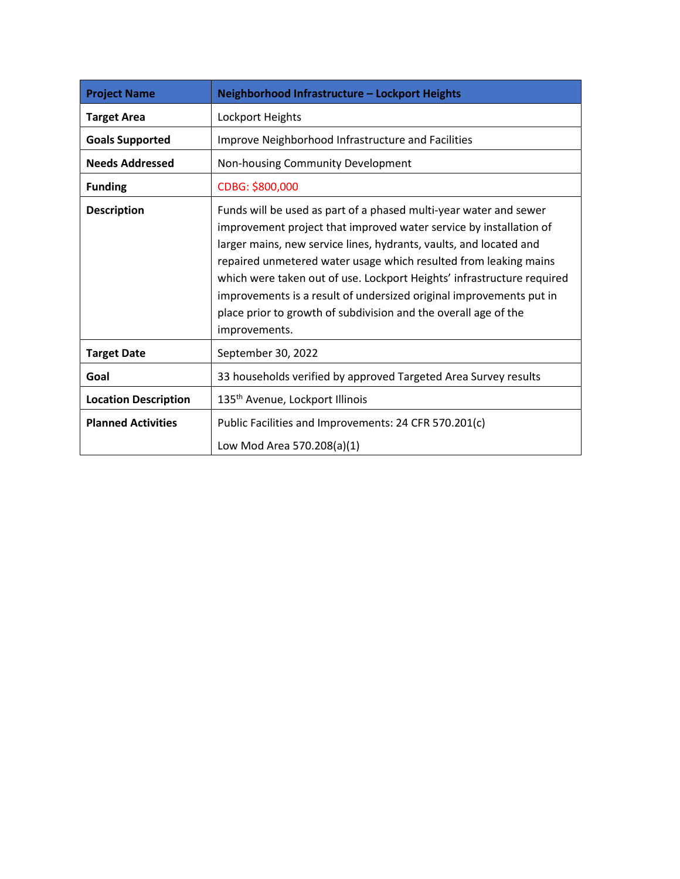| <b>Project Name</b>         | Neighborhood Infrastructure - Lockport Heights                                                                                                                                                                                                                                                                                                                                                                                                                                                                         |
|-----------------------------|------------------------------------------------------------------------------------------------------------------------------------------------------------------------------------------------------------------------------------------------------------------------------------------------------------------------------------------------------------------------------------------------------------------------------------------------------------------------------------------------------------------------|
| <b>Target Area</b>          | Lockport Heights                                                                                                                                                                                                                                                                                                                                                                                                                                                                                                       |
| <b>Goals Supported</b>      | Improve Neighborhood Infrastructure and Facilities                                                                                                                                                                                                                                                                                                                                                                                                                                                                     |
| <b>Needs Addressed</b>      | Non-housing Community Development                                                                                                                                                                                                                                                                                                                                                                                                                                                                                      |
| <b>Funding</b>              | CDBG: \$800,000                                                                                                                                                                                                                                                                                                                                                                                                                                                                                                        |
| <b>Description</b>          | Funds will be used as part of a phased multi-year water and sewer<br>improvement project that improved water service by installation of<br>larger mains, new service lines, hydrants, vaults, and located and<br>repaired unmetered water usage which resulted from leaking mains<br>which were taken out of use. Lockport Heights' infrastructure required<br>improvements is a result of undersized original improvements put in<br>place prior to growth of subdivision and the overall age of the<br>improvements. |
| <b>Target Date</b>          | September 30, 2022                                                                                                                                                                                                                                                                                                                                                                                                                                                                                                     |
| Goal                        | 33 households verified by approved Targeted Area Survey results                                                                                                                                                                                                                                                                                                                                                                                                                                                        |
| <b>Location Description</b> | 135 <sup>th</sup> Avenue, Lockport Illinois                                                                                                                                                                                                                                                                                                                                                                                                                                                                            |
| <b>Planned Activities</b>   | Public Facilities and Improvements: 24 CFR 570.201(c)<br>Low Mod Area 570.208(a)(1)                                                                                                                                                                                                                                                                                                                                                                                                                                    |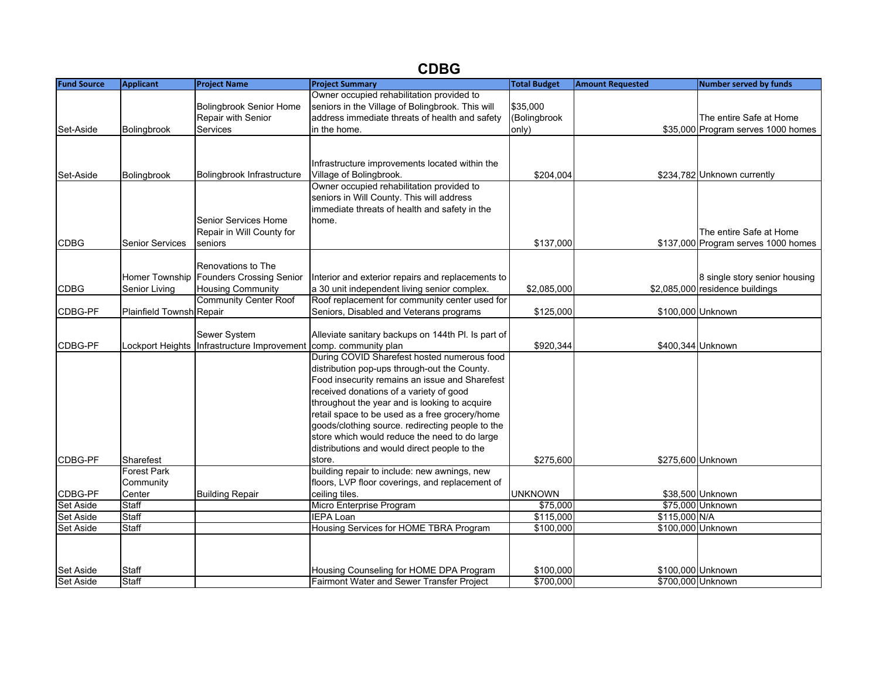# **CDBG**

| <b>Fund Source</b> | <b>Applicant</b>                | <b>Project Name</b>                             | <b>Project Summary</b>                                 | <b>Total Budget</b> | <b>Amount Requested</b> | <b>Number served by funds</b>       |
|--------------------|---------------------------------|-------------------------------------------------|--------------------------------------------------------|---------------------|-------------------------|-------------------------------------|
|                    |                                 |                                                 | Owner occupied rehabilitation provided to              |                     |                         |                                     |
|                    |                                 | <b>Bolingbrook Senior Home</b>                  | seniors in the Village of Bolingbrook. This will       | \$35,000            |                         |                                     |
|                    |                                 | Repair with Senior                              | address immediate threats of health and safety         | (Bolingbrook        |                         | The entire Safe at Home             |
| Set-Aside          | Bolingbrook                     | Services                                        | in the home.                                           | only)               |                         | \$35,000 Program serves 1000 homes  |
|                    |                                 |                                                 |                                                        |                     |                         |                                     |
|                    |                                 |                                                 |                                                        |                     |                         |                                     |
|                    |                                 |                                                 | Infrastructure improvements located within the         |                     |                         |                                     |
| Set-Aside          | Bolingbrook                     | Bolingbrook Infrastructure                      | Village of Bolingbrook.                                | \$204,004           |                         | \$234,782 Unknown currently         |
|                    |                                 |                                                 | Owner occupied rehabilitation provided to              |                     |                         |                                     |
|                    |                                 |                                                 | seniors in Will County. This will address              |                     |                         |                                     |
|                    |                                 |                                                 | immediate threats of health and safety in the          |                     |                         |                                     |
|                    |                                 | Senior Services Home                            | home.                                                  |                     |                         |                                     |
|                    |                                 | Repair in Will County for                       |                                                        |                     |                         | The entire Safe at Home             |
| <b>CDBG</b>        | <b>Senior Services</b>          | seniors                                         |                                                        | \$137,000           |                         | \$137,000 Program serves 1000 homes |
|                    |                                 |                                                 |                                                        |                     |                         |                                     |
|                    |                                 | Renovations to The                              |                                                        |                     |                         |                                     |
|                    | <b>Homer Township</b>           | <b>Founders Crossing Senior</b>                 | Interior and exterior repairs and replacements to      |                     |                         | 8 single story senior housing       |
| <b>CDBG</b>        | Senior Living                   | <b>Housing Community</b>                        | a 30 unit independent living senior complex.           | \$2,085,000         |                         | \$2,085,000 residence buildings     |
|                    |                                 | <b>Community Center Roof</b>                    | Roof replacement for community center used for         |                     |                         |                                     |
| CDBG-PF            | <b>Plainfield Townsh Repair</b> |                                                 | Seniors, Disabled and Veterans programs                | \$125,000           | \$100,000 Unknown       |                                     |
|                    |                                 |                                                 |                                                        |                     |                         |                                     |
|                    |                                 | Sewer System                                    | Alleviate sanitary backups on 144th Pl. Is part of     |                     |                         |                                     |
| CDBG-PF            | Lockport Heights                | Infrastructure Improvement comp. community plan |                                                        | \$920,344           |                         | \$400,344 Unknown                   |
|                    |                                 |                                                 | During COVID Sharefest hosted numerous food            |                     |                         |                                     |
|                    |                                 |                                                 | distribution pop-ups through-out the County.           |                     |                         |                                     |
|                    |                                 |                                                 | Food insecurity remains an issue and Sharefest         |                     |                         |                                     |
|                    |                                 |                                                 | received donations of a variety of good                |                     |                         |                                     |
|                    |                                 |                                                 | throughout the year and is looking to acquire          |                     |                         |                                     |
|                    |                                 |                                                 | retail space to be used as a free grocery/home         |                     |                         |                                     |
|                    |                                 |                                                 | goods/clothing source. redirecting people to the       |                     |                         |                                     |
|                    |                                 |                                                 | store which would reduce the need to do large          |                     |                         |                                     |
|                    |                                 |                                                 | distributions and would direct people to the           |                     |                         |                                     |
| CDBG-PF            | Sharefest<br><b>Forest Park</b> |                                                 | store.<br>building repair to include: new awnings, new | \$275,600           |                         | \$275,600 Unknown                   |
|                    |                                 |                                                 | floors, LVP floor coverings, and replacement of        |                     |                         |                                     |
| CDBG-PF            | Community<br>Center             |                                                 |                                                        | <b>UNKNOWN</b>      |                         | \$38,500 Unknown                    |
| <b>Set Aside</b>   | Staff                           | <b>Building Repair</b>                          | ceiling tiles.<br>Micro Enterprise Program             | \$75,000            |                         | \$75,000 Unknown                    |
| <b>Set Aside</b>   | <b>Staff</b>                    |                                                 | <b>IEPA Loan</b>                                       | \$115,000           | \$115,000 N/A           |                                     |
| Set Aside          | <b>Staff</b>                    |                                                 | Housing Services for HOME TBRA Program                 | \$100,000           |                         | \$100,000 Unknown                   |
|                    |                                 |                                                 |                                                        |                     |                         |                                     |
|                    |                                 |                                                 |                                                        |                     |                         |                                     |
|                    |                                 |                                                 |                                                        |                     |                         |                                     |
| <b>Set Aside</b>   | Staff                           |                                                 | Housing Counseling for HOME DPA Program                | \$100,000           |                         | \$100,000 Unknown                   |
| <b>Set Aside</b>   | Staff                           |                                                 | <b>Fairmont Water and Sewer Transfer Project</b>       | \$700,000           |                         | \$700,000 Unknown                   |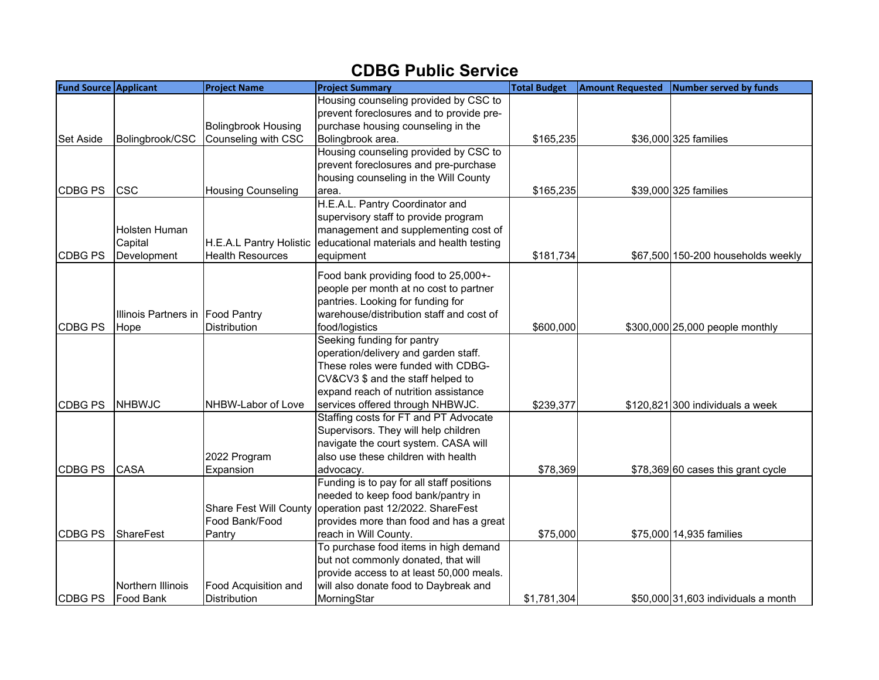## **CDBG Public Service**

| <b>Fund Source Applicant</b> |                                  | <b>Project Name</b>           | <b>Project Summary</b>                    | <b>Total Budget</b> | <b>Amount Requested</b> | Number served by funds              |
|------------------------------|----------------------------------|-------------------------------|-------------------------------------------|---------------------|-------------------------|-------------------------------------|
|                              |                                  |                               | Housing counseling provided by CSC to     |                     |                         |                                     |
|                              |                                  |                               | prevent foreclosures and to provide pre-  |                     |                         |                                     |
|                              |                                  | <b>Bolingbrook Housing</b>    | purchase housing counseling in the        |                     |                         |                                     |
| Set Aside                    | Bolingbrook/CSC                  | Counseling with CSC           | Bolingbrook area.                         | \$165,235           |                         | \$36,000 325 families               |
|                              |                                  |                               | Housing counseling provided by CSC to     |                     |                         |                                     |
|                              |                                  |                               | prevent foreclosures and pre-purchase     |                     |                         |                                     |
|                              |                                  |                               | housing counseling in the Will County     |                     |                         |                                     |
| CDBG PS                      | <b>CSC</b>                       | <b>Housing Counseling</b>     | area.                                     | \$165,235           |                         | \$39,000 325 families               |
|                              |                                  |                               | H.E.A.L. Pantry Coordinator and           |                     |                         |                                     |
|                              |                                  |                               | supervisory staff to provide program      |                     |                         |                                     |
|                              | Holsten Human                    |                               | management and supplementing cost of      |                     |                         |                                     |
|                              | Capital                          | H.E.A.L Pantry Holistic       | educational materials and health testing  |                     |                         |                                     |
| <b>CDBG PS</b>               | Development                      | <b>Health Resources</b>       | equipment                                 | \$181,734           |                         | \$67,500 150-200 households weekly  |
|                              |                                  |                               | Food bank providing food to 25,000+-      |                     |                         |                                     |
|                              |                                  |                               | people per month at no cost to partner    |                     |                         |                                     |
|                              |                                  |                               | pantries. Looking for funding for         |                     |                         |                                     |
|                              | Illinois Partners in Food Pantry |                               | warehouse/distribution staff and cost of  |                     |                         |                                     |
| <b>CDBG PS</b>               | Hope                             | <b>Distribution</b>           | food/logistics                            | \$600,000           |                         | \$300,000 25,000 people monthly     |
|                              |                                  |                               | Seeking funding for pantry                |                     |                         |                                     |
|                              |                                  |                               | operation/delivery and garden staff.      |                     |                         |                                     |
|                              |                                  |                               | These roles were funded with CDBG-        |                     |                         |                                     |
|                              |                                  |                               | CV&CV3 \$ and the staff helped to         |                     |                         |                                     |
|                              |                                  |                               | expand reach of nutrition assistance      |                     |                         |                                     |
| CDBG PS                      | <b>NHBWJC</b>                    | NHBW-Labor of Love            | services offered through NHBWJC.          | \$239,377           |                         | $$120,821$ 300 individuals a week   |
|                              |                                  |                               | Staffing costs for FT and PT Advocate     |                     |                         |                                     |
|                              |                                  |                               | Supervisors. They will help children      |                     |                         |                                     |
|                              |                                  |                               | navigate the court system. CASA will      |                     |                         |                                     |
|                              |                                  | 2022 Program                  | also use these children with health       |                     |                         |                                     |
| <b>CDBG PS</b>               | <b>CASA</b>                      | Expansion                     | advocacy.                                 | \$78,369            |                         | \$78,369 60 cases this grant cycle  |
|                              |                                  |                               | Funding is to pay for all staff positions |                     |                         |                                     |
|                              |                                  |                               | needed to keep food bank/pantry in        |                     |                         |                                     |
|                              |                                  | <b>Share Fest Will County</b> | operation past 12/2022. ShareFest         |                     |                         |                                     |
|                              |                                  | Food Bank/Food                | provides more than food and has a great   |                     |                         |                                     |
| CDBG PS                      | ShareFest                        | Pantry                        | reach in Will County.                     | \$75,000            |                         | \$75,000 14,935 families            |
|                              |                                  |                               | To purchase food items in high demand     |                     |                         |                                     |
|                              |                                  |                               | but not commonly donated, that will       |                     |                         |                                     |
|                              |                                  |                               | provide access to at least 50,000 meals.  |                     |                         |                                     |
|                              | Northern Illinois                | Food Acquisition and          | will also donate food to Daybreak and     |                     |                         |                                     |
| <b>CDBG PS</b>               | Food Bank                        | <b>Distribution</b>           | MorningStar                               | \$1,781,304         |                         | \$50,000 31,603 individuals a month |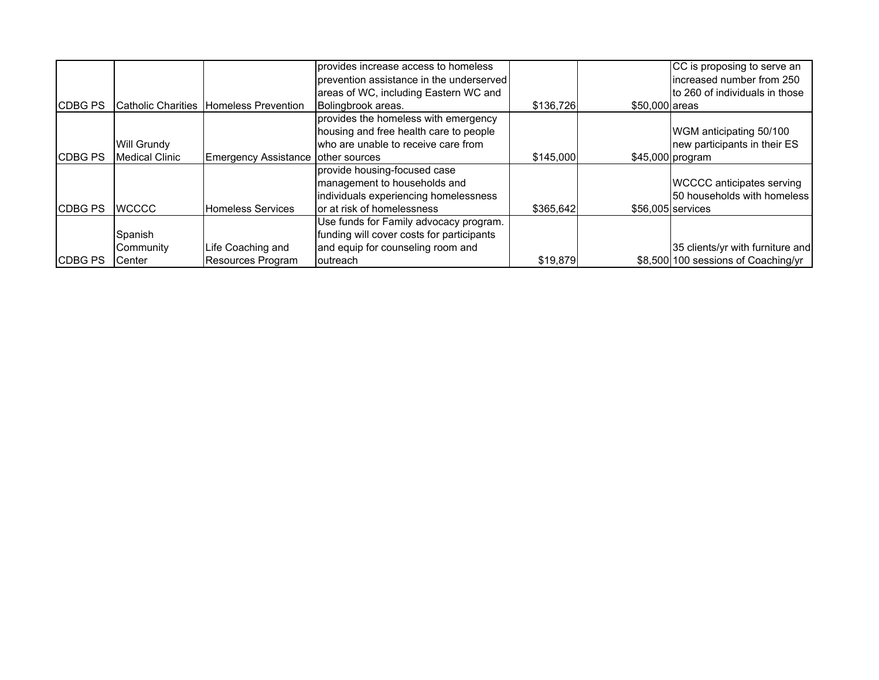|                 |                           |                                    | provides increase access to homeless      |           |                | CC is proposing to serve an         |
|-----------------|---------------------------|------------------------------------|-------------------------------------------|-----------|----------------|-------------------------------------|
|                 |                           |                                    | prevention assistance in the underserved  |           |                | increased number from 250           |
|                 |                           |                                    | areas of WC, including Eastern WC and     |           |                | to 260 of individuals in those      |
| <b>ICDBG PS</b> | <b>Catholic Charities</b> | <b>Homeless Prevention</b>         | Bolingbrook areas.                        | \$136,726 | \$50,000 areas |                                     |
|                 |                           |                                    | provides the homeless with emergency      |           |                |                                     |
|                 |                           |                                    | housing and free health care to people    |           |                | WGM anticipating 50/100             |
|                 | <b>Will Grundy</b>        |                                    | who are unable to receive care from       |           |                | new participants in their ES        |
| <b>CDBG PS</b>  | Medical Clinic            | Emergency Assistance other sources |                                           | \$145,000 |                | $$45,000$ program                   |
|                 |                           |                                    | provide housing-focused case              |           |                |                                     |
|                 |                           |                                    | management to households and              |           |                | <b>WCCCC</b> anticipates serving    |
|                 |                           |                                    | individuals experiencing homelessness     |           |                | 50 households with homeless         |
| <b>ICDBG PS</b> | <b>IWCCCC</b>             | <b>Homeless Services</b>           | or at risk of homelessness                | \$365,642 |                | \$56,005 services                   |
|                 |                           |                                    | Use funds for Family advocacy program.    |           |                |                                     |
|                 | Spanish                   |                                    | funding will cover costs for participants |           |                |                                     |
|                 | Community                 | Life Coaching and                  | and equip for counseling room and         |           |                | 35 clients/yr with furniture and    |
| <b>ICDBG PS</b> | Center                    | <b>Resources Program</b>           | outreach                                  | \$19,879  |                | \$8,500 100 sessions of Coaching/yr |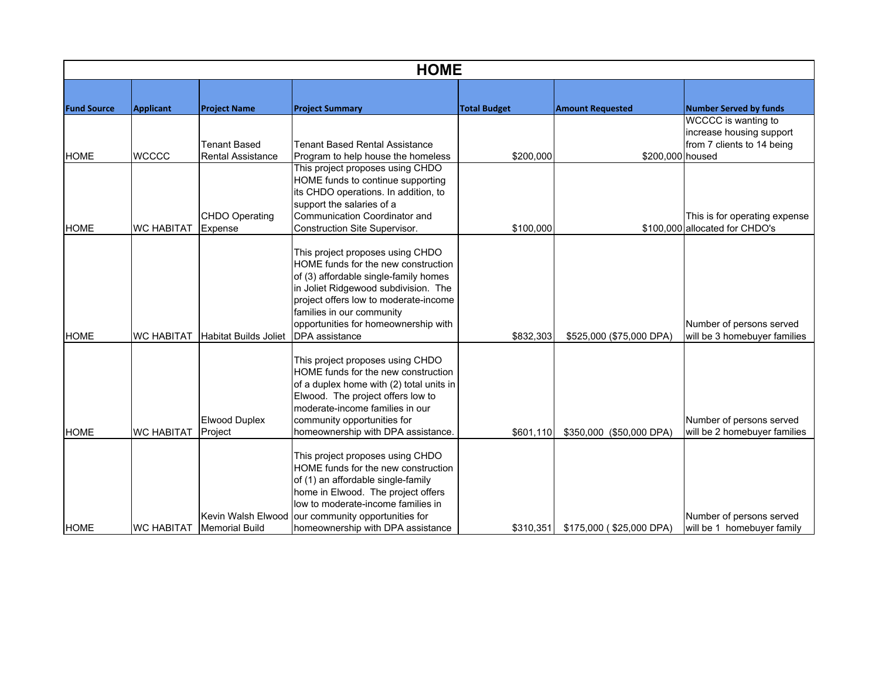|                    | <b>HOME</b>       |                                 |                                                                                                                                                                                                                                                                                      |                     |                                    |                                                          |  |  |  |
|--------------------|-------------------|---------------------------------|--------------------------------------------------------------------------------------------------------------------------------------------------------------------------------------------------------------------------------------------------------------------------------------|---------------------|------------------------------------|----------------------------------------------------------|--|--|--|
| <b>Fund Source</b> |                   |                                 |                                                                                                                                                                                                                                                                                      | <b>Total Budget</b> | <b>Amount Requested</b>            | <b>Number Served by funds</b>                            |  |  |  |
|                    | <b>Applicant</b>  | <b>Project Name</b>             | <b>Project Summary</b>                                                                                                                                                                                                                                                               |                     |                                    | WCCCC is wanting to                                      |  |  |  |
|                    |                   |                                 |                                                                                                                                                                                                                                                                                      |                     |                                    | increase housing support                                 |  |  |  |
|                    |                   | <b>Tenant Based</b>             | <b>Tenant Based Rental Assistance</b>                                                                                                                                                                                                                                                |                     |                                    | from 7 clients to 14 being                               |  |  |  |
| <b>HOME</b>        | <b>WCCCC</b>      | <b>Rental Assistance</b>        | Program to help house the homeless                                                                                                                                                                                                                                                   | \$200,000           | \$200,000 housed                   |                                                          |  |  |  |
|                    |                   | <b>CHDO Operating</b>           | This project proposes using CHDO<br>HOME funds to continue supporting<br>its CHDO operations. In addition, to<br>support the salaries of a<br>Communication Coordinator and                                                                                                          |                     |                                    | This is for operating expense                            |  |  |  |
| <b>HOME</b>        | <b>WC HABITAT</b> | Expense                         | Construction Site Supervisor.                                                                                                                                                                                                                                                        | \$100,000           |                                    | \$100,000 allocated for CHDO's                           |  |  |  |
|                    |                   |                                 | This project proposes using CHDO<br>HOME funds for the new construction<br>of (3) affordable single-family homes<br>in Joliet Ridgewood subdivision. The<br>project offers low to moderate-income<br>families in our community                                                       |                     |                                    |                                                          |  |  |  |
|                    |                   |                                 | opportunities for homeownership with                                                                                                                                                                                                                                                 |                     |                                    | Number of persons served                                 |  |  |  |
| <b>HOME</b>        | <b>WC HABITAT</b> | <b>Habitat Builds Joliet</b>    | <b>DPA</b> assistance                                                                                                                                                                                                                                                                | \$832,303           | \$525,000 (\$75,000 DPA)           | will be 3 homebuyer families                             |  |  |  |
| <b>HOME</b>        | <b>WC HABITAT</b> | <b>Elwood Duplex</b><br>Project | This project proposes using CHDO<br>HOME funds for the new construction<br>of a duplex home with (2) total units in<br>Elwood. The project offers low to<br>moderate-income families in our<br>community opportunities for<br>homeownership with DPA assistance.                     | \$601,110           | \$350,000 (\$50,000 DPA)           | Number of persons served<br>will be 2 homebuyer families |  |  |  |
| <b>HOME</b>        | <b>WC HABITAT</b> | <b>Memorial Build</b>           | This project proposes using CHDO<br>HOME funds for the new construction<br>of (1) an affordable single-family<br>home in Elwood. The project offers<br>low to moderate-income families in<br>Kevin Walsh Elwood our community opportunities for<br>homeownership with DPA assistance |                     | \$310,351 \$175,000 (\$25,000 DPA) | Number of persons served<br>will be 1 homebuyer family   |  |  |  |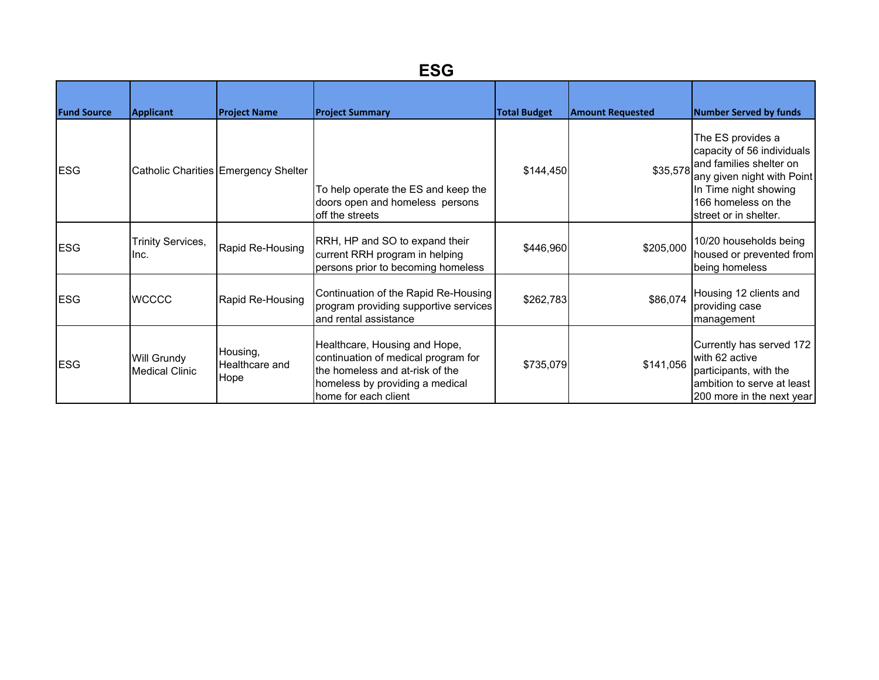| <b>Fund Source</b> | Applicant                                   | <b>Project Name</b>                  | <b>Project Summary</b>                                                                                                                                             | <b>Total Budget</b> | <b>Amount Requested</b> | <b>Number Served by funds</b>                                                                                                                                                     |
|--------------------|---------------------------------------------|--------------------------------------|--------------------------------------------------------------------------------------------------------------------------------------------------------------------|---------------------|-------------------------|-----------------------------------------------------------------------------------------------------------------------------------------------------------------------------------|
| <b>ESG</b>         |                                             | Catholic Charities Emergency Shelter | To help operate the ES and keep the<br>doors open and homeless persons<br>off the streets                                                                          | \$144,450           | \$35,578                | The ES provides a<br>capacity of 56 individuals<br>and families shelter on<br>any given night with Point<br>In Time night showing<br>166 homeless on the<br>street or in shelter. |
| <b>ESG</b>         | <b>Trinity Services,</b><br>Ilnc.           | Rapid Re-Housing                     | RRH, HP and SO to expand their<br>current RRH program in helping<br>persons prior to becoming homeless                                                             | \$446,960           | \$205,000               | 10/20 households being<br>housed or prevented from<br>being homeless                                                                                                              |
| <b>ESG</b>         | <b>WCCCC</b>                                | Rapid Re-Housing                     | Continuation of the Rapid Re-Housing<br>program providing supportive services<br>and rental assistance                                                             | \$262,783           | \$86,074                | Housing 12 clients and<br>providing case<br>management                                                                                                                            |
| <b>ESG</b>         | <b>Will Grundy</b><br><b>Medical Clinic</b> | Housing,<br>Healthcare and<br>Hope   | Healthcare, Housing and Hope,<br>continuation of medical program for<br>the homeless and at-risk of the<br>homeless by providing a medical<br>home for each client | \$735,079           | \$141,056               | Currently has served 172<br>with 62 active<br>participants, with the<br>ambition to serve at least<br>200 more in the next year                                                   |